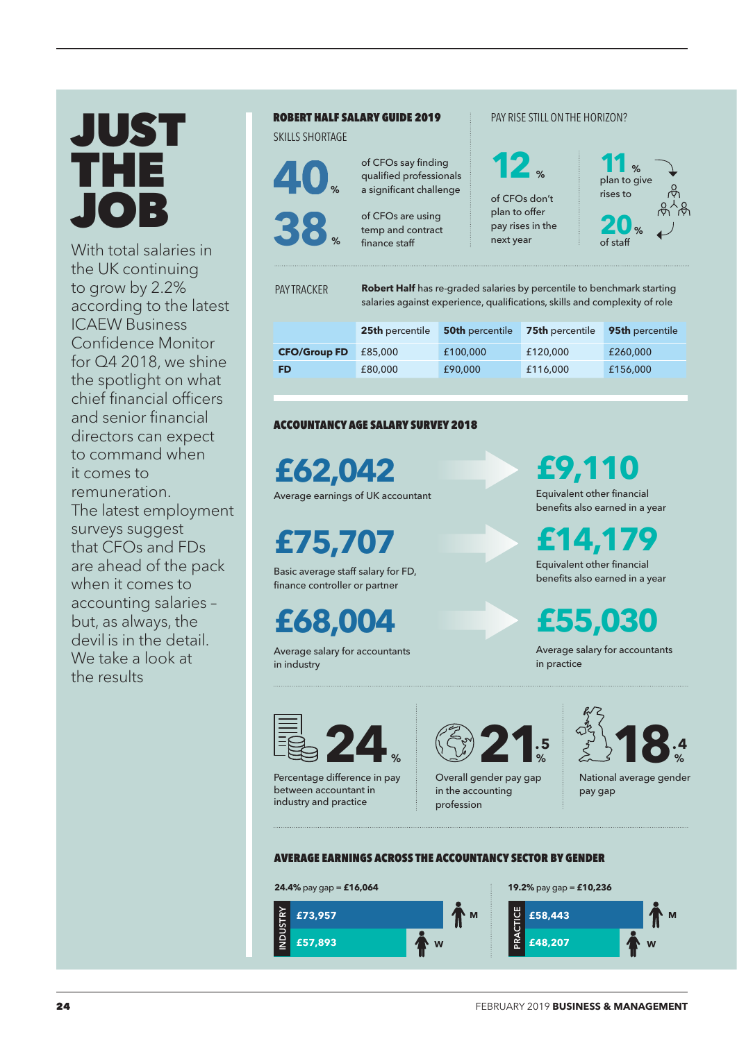# JUST THE JOB

With total salaries in the UK continuing to grow by 2.2% according to the latest ICAEW Business Confidence Monitor for Q4 2018, we shine the spotlight on what chief financial officers and senior financial directors can expect to command when it comes to remuneration. The latest employment surveys suggest that CFOs and FDs are ahead of the pack when it comes to accounting salaries – but, as always, the devil is in the detail. We take a look at the results

# **ROBERT HALF SALARY GUIDE 2019**

ROBERT HALF SALARY GUIDE 2019 SKILLS SHORTAGE



of CFOs say finding qualified professionals

of CFOs are using temp and contract finance staff **38** of CFOs are using<br>temp and contract<br>finance staff pay rises in the<br>next year<br>of staff

a significant challenge

# PAY RISE STILL ON THE HORIZON?

% of staff rises to

PAY TRACKER

**Robert Half** has re-graded salaries by percentile to benchmark starting salaries against experience, qualifications, skills and complexity of role

of CFOs don't plan to offer pay rises in the next year

**12**

|                     | 25th percentile | <b>50th</b> percentile | <b>75th</b> percentile | 95th percentile |
|---------------------|-----------------|------------------------|------------------------|-----------------|
| <b>CFO/Group FD</b> | £85,000         | £100,000               | £120,000               | £260,000        |
| <b>FD</b>           | £80,000         | £90,000                | £116,000               | £156,000        |

## **ACCOUNTANCY AGE SALARY SURVEY 2018**

**£62,042**

Average earnings of UK accountant Equivalent other financial

**£75,707**

Basic average staff salary for FD, finance controller or partner

**£68,004**

Average salary for accountants in industry

**£9,110**

benefits also earned in a year

**£14,179** Equivalent other financial benefits also earned in a year

**£55,030**

Average salary for accountants in practice



Percentage difference in pay between accountant in industry and practice



Overall gender pay gap in the accounting profession



National average gender pay gap

#### **AVERAGE EARNINGS ACROSS THE ACCOUNTANCY SECTOR BY GENDER**